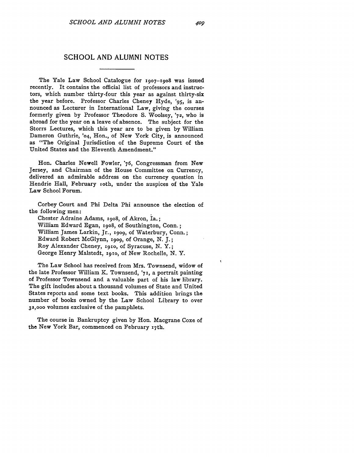## **SCHOOL AND ALUMNI NOTES**

The Yale Law School Catalogue for **1907-1908** was issued recently. It contains the official list of professors and instructors, which number thirty-four this year as against thirty-six the year before. Professor Charles Cheney Hyde, *'95,* is announced as Lecturer in International Law, giving the courses formerly given by Professor Theodore S. Woolsey, **'72,** who is abroad for the year on a leave of absence. The subject for the Storrs Lectures, which this year are to be given by William Dameron Guthrie, '04, Hon., of New York City, is announced as "The Original Jurisdiction of the Supreme Court of the United States and the Eleventh Amendment."

Hon. Charles Newell Fowler, '76, Congressman from New Jersey, and Chairman of the House Committee on Currency, delivered an admirable address on the currency question in Hendrie Hall, February roth, under the auspices of the Yale Law School Forum.

Corbey Court and Phi Delta Phi announce the election of the following men:

Chester Adraine Adams, 19o8, of Akron, Ia.; William Edward Egan, **19o8,** of Southington, Conn.; William James Larkin, Jr., **x9o9,** of Waterbury, Conn.; Edward Robert McGlynn, **1909,** of Orange, N. **J.;** Roy Alexander Cheney, **1go,** of Syracuse, N. Y.; George Henry Malstedt, xg1o, of New Rochelle, N. Y.

The Law School has received from Mrs. Townsend, widow of the late Professor William K. Townsend, '71, a portrait painting of Professor Townsend and a valuable part of his law library. The gift includes about a thousand volumes of State and United States reports and some text books. This addition brings the number of books owned by the Law School Library to over **32,000** volumes exclusive of the pamphlets.

The course in Bankruptcy given by Hon. Macgrane Coxe of the New York Bar, commenced on February **17th.**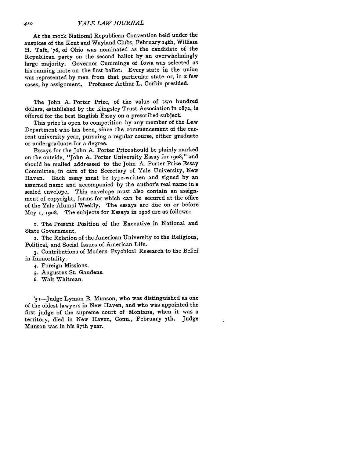## *YALE LAW JOURNAL*

At the mock National Republican Convention held under the auspices of the Kent and Wayland Clubs, February 14th, William H. Taft, '76, of Ohio was nominated as the candidate of the Republican party on the second ballot by an overwhelmingly large majority. Governor Cummings of Iowa was selected as his running mate on the first ballot. Every state in the union was represented by men from that particular state or, in **d** few cases, by assignment. Professor Arthur L. Corbin presided.

The John A. Porter Prize, of the value of two hundred dollars, established by the Kingsley Trust Association in 1872, is offered for the best English Essay on a prescribed subject.

This prize is open to competition by any member of the Law Department who has been, since the commencement of the current university year, pursuing a regular course, either graduate or undergraduate for a degree.

Essays for the John A. Porter Prize should be plainly marked on the outside, "John A. Porter University Essay for 1908," and should be mailed addressed to the John A. Porter Prize Essay Committee, in care of the Secretary of Yale University, New Haven. Each essay must be type-written and signed by an assumed name and accompanied by the author's real name in a sealed envelope. This envelope must also contain an assignment of copyright, forms for which can be secured at the office of the Yale Alumni Weekly. The essays are due on or before May **x,** 19o8. The subjects for Essays in 19o8 are as follows:

**i.** The Present Position of the Executive in National and State Government.

2. The Relation of the American University to the Religious, Political, and Social Issues of American Life.

3. Contributions of Modern Psychical Research to the Belief in Immortality.

- 4. Foreign Missions.
- **5.** Augustus St. Gaudens.
- 6. Walt Whitman.

**'5** i-Judge Lyman E. Munson, who was distinguished as one of the oldest lawyers in New Haven, and who was appointed the first judge of the supreme court of Montana, when it was a territory, died in New Haven, Conn., February 7th. Judge Munson was in his 87th year.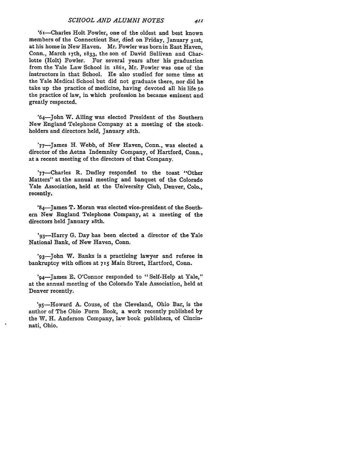'6x-Charles Holt Fowler, one of the oldest and best known members of the Connecticut Bar, died on Friday, January 31st, at his home in New Haven. Mr. Fowler was born in East Haven, Conn., March 17th, 1833, the son of David Sullivan and Charlotte (Holt) Fowler. For several years after his graduation from the Yale Law School in i86i, Mr. Fowler was one of the instructors in that School. He also studied for some time at the Yale Medical School but did not graduate there, nor did he take up the practice of medicine, having devoted all his life to the practice of law, in which profession he became eminent and greatly respected.

'64-John W. Alling was elected President of the Southern New England Telephone Company at a meeting of the stockholders and directors held, January 28th.

'77-James H. Webb, of New Haven, Conn., was elected a director of the Aetna Indemnity Company, of Hartford, Conn., at a recent meeting of the directors of that Company.

'77-Charles R. Dudley responded to the toast "Other Matters" at the annual meeting and banquet of the Colorado Yale Association, held at the University Club, Denver, Colo., recently.

'84-James T. Moran was elected vice-president of the Southern New England Telephone Company, at a meeting of the directors held January 28th.

'93—Harry G. Day has been elected a director of the Yale National Bank, of New Haven, Conn.

'93-John W. Banks is a practicing lawyer and referee in bankruptcy with offices at **715** Main Street, Hartford, Conn.

' <sup>9</sup> 4-James **E.** O'Connor responded to "Self-Help at Yale," at the annual meeting of the Colorado Yale Association, held at Denver recently.

 <sup>9</sup> 5-Howard A. Couse, of the Cleveland, Ohio Bar, is the author of The Ohio Form Book, a work recently published by the W. H. Anderson Company, law book publishers, of Cincinnati, Ohio.